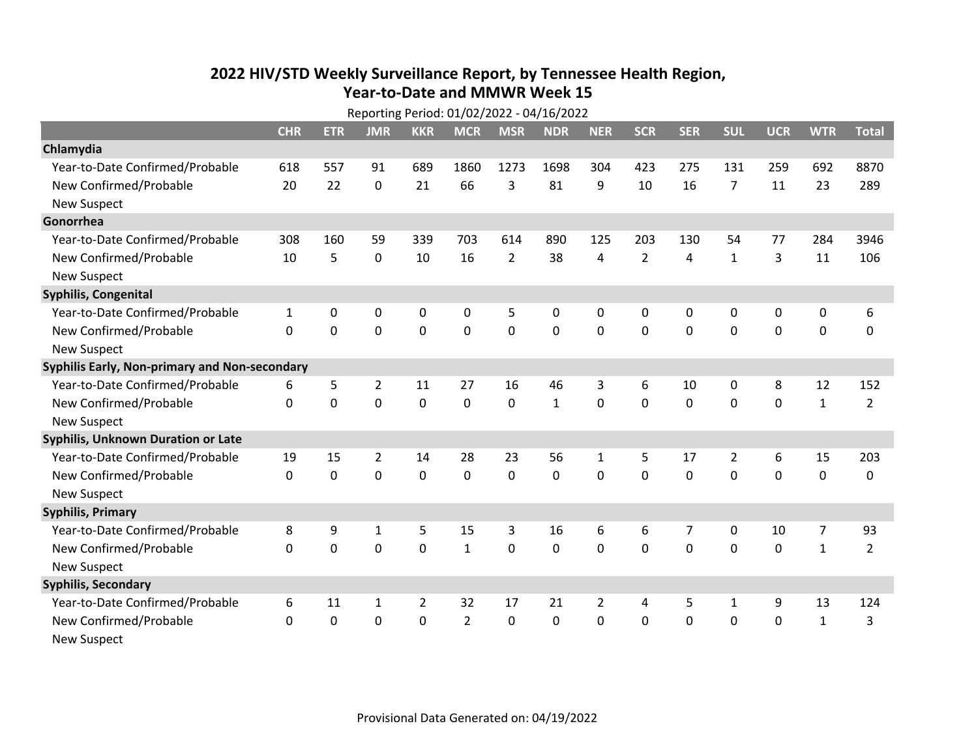## **2022 HIV /STD Weekl y Surveillance Report, b y Tennessee Health Region, Year‐to‐Date and MMWR Week 15**

|                                               | Reporting Period: 01/02/2022 - 04/16/2022 |             |                |                |                |                |              |              |                |              |                |             |                |                |
|-----------------------------------------------|-------------------------------------------|-------------|----------------|----------------|----------------|----------------|--------------|--------------|----------------|--------------|----------------|-------------|----------------|----------------|
|                                               | <b>CHR</b>                                | <b>ETR</b>  | <b>JMR</b>     | <b>KKR</b>     | <b>MCR</b>     | <b>MSR</b>     | <b>NDR</b>   | <b>NER</b>   | <b>SCR</b>     | <b>SER</b>   | <b>SUL</b>     | <b>UCR</b>  | <b>WTR</b>     | <b>Total</b>   |
| Chlamydia                                     |                                           |             |                |                |                |                |              |              |                |              |                |             |                |                |
| Year-to-Date Confirmed/Probable               | 618                                       | 557         | 91             | 689            | 1860           | 1273           | 1698         | 304          | 423            | 275          | 131            | 259         | 692            | 8870           |
| New Confirmed/Probable                        | 20                                        | 22          | $\mathbf{0}$   | 21             | 66             | 3              | 81           | 9            | 10             | 16           | 7              | 11          | 23             | 289            |
| <b>New Suspect</b>                            |                                           |             |                |                |                |                |              |              |                |              |                |             |                |                |
| Gonorrhea                                     |                                           |             |                |                |                |                |              |              |                |              |                |             |                |                |
| Year-to-Date Confirmed/Probable               | 308                                       | 160         | 59             | 339            | 703            | 614            | 890          | 125          | 203            | 130          | 54             | 77          | 284            | 3946           |
| New Confirmed/Probable                        | 10                                        | 5           | $\mathbf{0}$   | 10             | 16             | $\overline{2}$ | 38           | 4            | $\overline{2}$ | 4            | $\mathbf{1}$   | 3           | 11             | 106            |
| <b>New Suspect</b>                            |                                           |             |                |                |                |                |              |              |                |              |                |             |                |                |
| Syphilis, Congenital                          |                                           |             |                |                |                |                |              |              |                |              |                |             |                |                |
| Year-to-Date Confirmed/Probable               | $\mathbf{1}$                              | $\mathbf 0$ | $\mathbf 0$    | $\mathbf 0$    | 0              | 5              | 0            | 0            | $\mathbf{0}$   | 0            | $\mathbf 0$    | 0           | 0              | 6              |
| New Confirmed/Probable                        | $\Omega$                                  | $\Omega$    | $\Omega$       | $\mathbf 0$    | $\mathbf{0}$   | 0              | 0            | 0            | $\mathbf{0}$   | $\mathbf{0}$ | 0              | 0           | $\mathbf 0$    | 0              |
| <b>New Suspect</b>                            |                                           |             |                |                |                |                |              |              |                |              |                |             |                |                |
| Syphilis Early, Non-primary and Non-secondary |                                           |             |                |                |                |                |              |              |                |              |                |             |                |                |
| Year-to-Date Confirmed/Probable               | 6                                         | 5           | $\overline{2}$ | 11             | 27             | 16             | 46           | 3            | 6              | 10           | 0              | 8           | 12             | 152            |
| New Confirmed/Probable                        | $\Omega$                                  | $\mathbf 0$ | $\mathbf 0$    | 0              | 0              | 0              | $\mathbf{1}$ | 0            | 0              | 0            | 0              | 0           | $\mathbf{1}$   | $\overline{2}$ |
| <b>New Suspect</b>                            |                                           |             |                |                |                |                |              |              |                |              |                |             |                |                |
| <b>Syphilis, Unknown Duration or Late</b>     |                                           |             |                |                |                |                |              |              |                |              |                |             |                |                |
| Year-to-Date Confirmed/Probable               | 19                                        | 15          | 2              | 14             | 28             | 23             | 56           | $\mathbf{1}$ | 5              | 17           | $\overline{2}$ | 6           | 15             | 203            |
| New Confirmed/Probable                        | $\Omega$                                  | $\mathbf 0$ | 0              | 0              | 0              | 0              | 0            | 0            | 0              | 0            | 0              | $\mathbf 0$ | $\mathbf 0$    | 0              |
| <b>New Suspect</b>                            |                                           |             |                |                |                |                |              |              |                |              |                |             |                |                |
| <b>Syphilis, Primary</b>                      |                                           |             |                |                |                |                |              |              |                |              |                |             |                |                |
| Year-to-Date Confirmed/Probable               | 8                                         | 9           | 1              | 5              | 15             | 3              | 16           | 6            | 6              | 7            | 0              | 10          | $\overline{7}$ | 93             |
| New Confirmed/Probable                        | $\Omega$                                  | 0           | $\mathbf 0$    | $\mathbf 0$    | $\mathbf{1}$   | 0              | 0            | 0            | 0              | 0            | 0              | 0           | $\mathbf{1}$   | $\overline{2}$ |
| <b>New Suspect</b>                            |                                           |             |                |                |                |                |              |              |                |              |                |             |                |                |
| <b>Syphilis, Secondary</b>                    |                                           |             |                |                |                |                |              |              |                |              |                |             |                |                |
| Year-to-Date Confirmed/Probable               | 6                                         | 11          | 1              | $\overline{2}$ | 32             | 17             | 21           | 2            | 4              | 5            | $\mathbf{1}$   | 9           | 13             | 124            |
| New Confirmed/Probable                        | $\Omega$                                  | 0           | 0              | $\Omega$       | $\overline{2}$ | $\mathbf{0}$   | 0            | $\mathbf{0}$ | $\mathbf{0}$   | 0            | 0              | 0           | $\mathbf{1}$   | 3              |
| <b>New Suspect</b>                            |                                           |             |                |                |                |                |              |              |                |              |                |             |                |                |